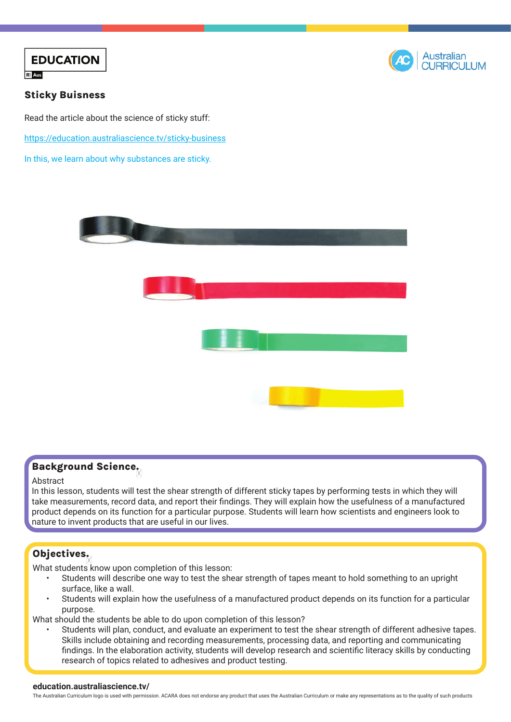



### Sticky Buisness

Read the article about the science of sticky stuff: [https://education.australiascience.tv/](https://education.australiascience.tv/sticky-business)sticky-business In this, we learn about why substances are sticky.



# Background Science.

#### Abstract

In this lesson, students will test the shear strength of different sticky tapes by performing tests in which they will take measurements, record data, and report their findings. They will explain how the usefulness of a manufactured product depends on its function for a particular purpose. Students will learn how scientists and engineers look to nature to invent products that are useful in our lives.

## Objectives:

What students know upon completion of this lesson:

- Students will describe one way to test the shear strength of tapes meant to hold something to an upright surface, like a wall.
- Students will explain how the usefulness of a manufactured product depends on its function for a particular purpose.

What should the students be able to do upon completion of this lesson?

• Students will plan, conduct, and evaluate an experiment to test the shear strength of different adhesive tapes. Skills include obtaining and recording measurements, processing data, and reporting and communicating findings. In the elaboration activity, students will develop research and scientific literacy skills by conducting research of topics related to adhesives and product testing.

#### **education.australiascience.tv/**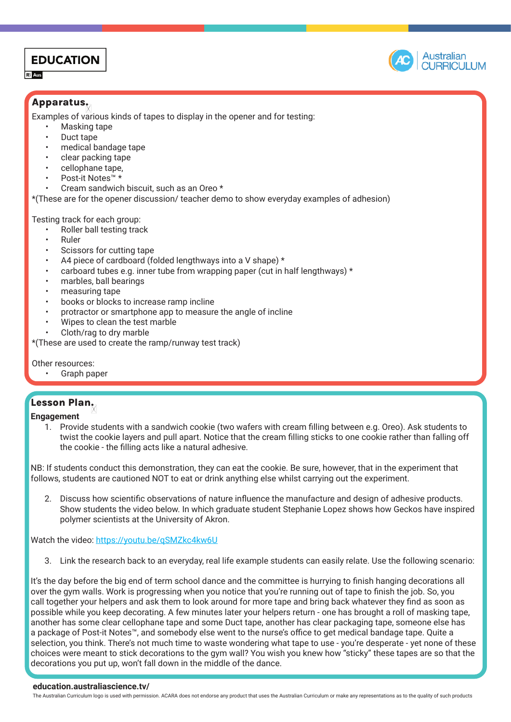# **EDUCATION**

 $R<sup>2</sup>$  Aus



## Apparatus:

Examples of various kinds of tapes to display in the opener and for testing:

- Masking tape
- Duct tape
- medical bandage tape
- clear packing tape
- cellophane tape,
- Post-it Notes™ \*
- Cream sandwich biscuit, such as an Oreo \*

\*(These are for the opener discussion/ teacher demo to show everyday examples of adhesion)

Testing track for each group:

- Roller ball testing track
- Ruler
- Scissors for cutting tape
- A4 piece of cardboard (folded lengthways into a V shape) \*
- carboard tubes e.g. inner tube from wrapping paper (cut in half lengthways) \*
- marbles, ball bearings
- measuring tape
- books or blocks to increase ramp incline
- protractor or smartphone app to measure the angle of incline
- Wipes to clean the test marble
- Cloth/rag to dry marble

\*(These are used to create the ramp/runway test track)

Other resources:

Graph paper

## Lesson Plan:

**Engagement**

1. Provide students with a sandwich cookie (two wafers with cream filling between e.g. Oreo). Ask students to twist the cookie layers and pull apart. Notice that the cream filling sticks to one cookie rather than falling off the cookie - the filling acts like a natural adhesive.

NB: If students conduct this demonstration, they can eat the cookie. Be sure, however, that in the experiment that follows, students are cautioned NOT to eat or drink anything else whilst carrying out the experiment.

2. Discuss how scientific observations of nature influence the manufacture and design of adhesive products. Show students the video below. In which graduate student Stephanie Lopez shows how Geckos have inspired polymer scientists at the University of Akron.

Watch the video: <https://youtu.be/qSMZkc4kw6U>

3. Link the research back to an everyday, real life example students can easily relate. Use the following scenario:

It's the day before the big end of term school dance and the committee is hurrying to finish hanging decorations all over the gym walls. Work is progressing when you notice that you're running out of tape to finish the job. So, you call together your helpers and ask them to look around for more tape and bring back whatever they find as soon as possible while you keep decorating. A few minutes later your helpers return - one has brought a roll of masking tape, another has some clear cellophane tape and some Duct tape, another has clear packaging tape, someone else has a package of Post-it Notes™, and somebody else went to the nurse's office to get medical bandage tape. Quite a selection, you think. There's not much time to waste wondering what tape to use - you're desperate - yet none of these choices were meant to stick decorations to the gym wall? You wish you knew how "sticky" these tapes are so that the decorations you put up, won't fall down in the middle of the dance.

#### **education.australiascience.tv/**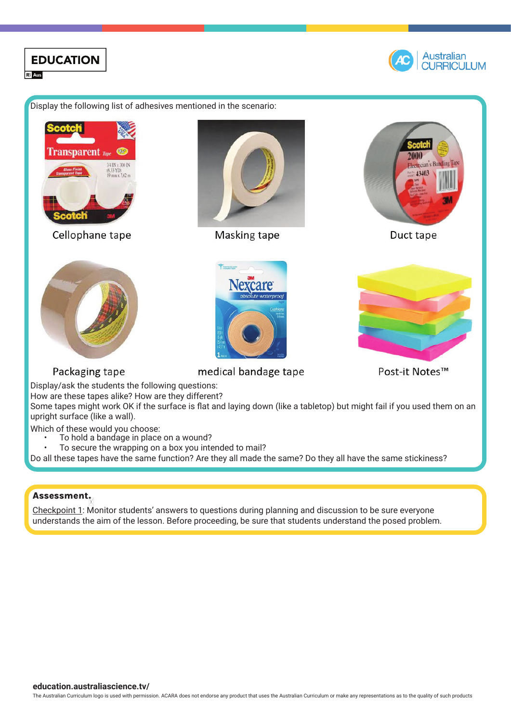

#### Assessment.

Checkpoint 1: Monitor students' answers to questions during planning and discussion to be sure everyone understands the aim of the lesson. Before proceeding, be sure that students understand the posed problem.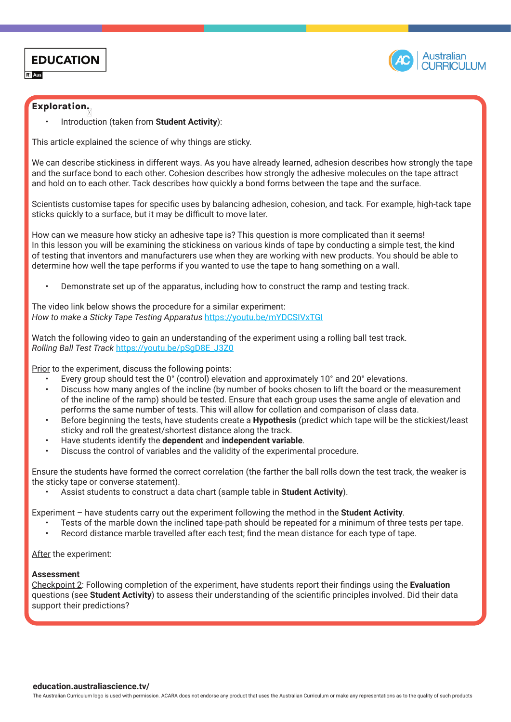



#### Exploration:

• Introduction (taken from **Student Activity**):

This article explained the science of why things are sticky.

We can describe stickiness in different ways. As you have already learned, adhesion describes how strongly the tape and the surface bond to each other. Cohesion describes how strongly the adhesive molecules on the tape attract and hold on to each other. Tack describes how quickly a bond forms between the tape and the surface.

Scientists customise tapes for specific uses by balancing adhesion, cohesion, and tack. For example, high-tack tape sticks quickly to a surface, but it may be difficult to move later.

How can we measure how sticky an adhesive tape is? This question is more complicated than it seems! In this lesson you will be examining the stickiness on various kinds of tape by conducting a simple test, the kind of testing that inventors and manufacturers use when they are working with new products. You should be able to determine how well the tape performs if you wanted to use the tape to hang something on a wall.

• Demonstrate set up of the apparatus, including how to construct the ramp and testing track.

The video link below shows the procedure for a similar experiment: *How to make a Sticky Tape Testing Apparatus* <https://youtu.be/mYDCSIVxTGI>

Watch the following video to gain an understanding of the experiment using a rolling ball test track. *Rolling Ball Test Track* [https://youtu.be/pSgD8E\\_J3Z0](https://youtu.be/pSgD8E_J3Z0)

Prior to the experiment, discuss the following points:

- Every group should test the 0° (control) elevation and approximately 10° and 20° elevations.
- Discuss how many angles of the incline (by number of books chosen to lift the board or the measurement of the incline of the ramp) should be tested. Ensure that each group uses the same angle of elevation and performs the same number of tests. This will allow for collation and comparison of class data.
- Before beginning the tests, have students create a **Hypothesis** (predict which tape will be the stickiest/least sticky and roll the greatest/shortest distance along the track.
- Have students identify the **dependent** and **independent variable**.
- Discuss the control of variables and the validity of the experimental procedure.

Ensure the students have formed the correct correlation (the farther the ball rolls down the test track, the weaker is the sticky tape or converse statement).

• Assist students to construct a data chart (sample table in **Student Activity**).

Experiment – have students carry out the experiment following the method in the **Student Activity**.

- Tests of the marble down the inclined tape-path should be repeated for a minimum of three tests per tape.
- Record distance marble travelled after each test; find the mean distance for each type of tape.

After the experiment:

#### **Assessment**

Checkpoint 2: Following completion of the experiment, have students report their findings using the **Evaluation** questions (see **Student Activity**) to assess their understanding of the scientific principles involved. Did their data support their predictions?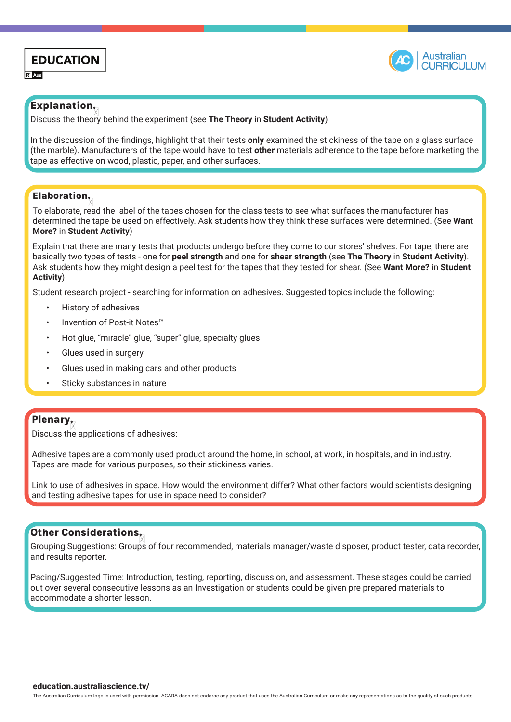



#### Explanation:

Discuss the theory behind the experiment (see **The Theory** in **Student Activity**)

In the discussion of the findings, highlight that their tests **only** examined the stickiness of the tape on a glass surface (the marble). Manufacturers of the tape would have to test **other** materials adherence to the tape before marketing the tape as effective on wood, plastic, paper, and other surfaces.

#### Elaboration:

To elaborate, read the label of the tapes chosen for the class tests to see what surfaces the manufacturer has determined the tape be used on effectively. Ask students how they think these surfaces were determined. (See **Want More?** in **Student Activity**)

Explain that there are many tests that products undergo before they come to our stores' shelves. For tape, there are basically two types of tests - one for **peel strength** and one for **shear strength** (see **The Theory** in **Student Activity**). Ask students how they might design a peel test for the tapes that they tested for shear. (See **Want More?** in **Student Activity**)

Student research project - searching for information on adhesives. Suggested topics include the following:

- History of adhesives
- Invention of Post-it Notes™
- Hot glue, "miracle" glue, "super" glue, specialty glues
- Glues used in surgery
- Glues used in making cars and other products
- Sticky substances in nature

#### Plenary:

Discuss the applications of adhesives:

Adhesive tapes are a commonly used product around the home, in school, at work, in hospitals, and in industry. Tapes are made for various purposes, so their stickiness varies.

Link to use of adhesives in space. How would the environment differ? What other factors would scientists designing and testing adhesive tapes for use in space need to consider?

## Other Considerations:

Grouping Suggestions: Groups of four recommended, materials manager/waste disposer, product tester, data recorder, and results reporter.

Pacing/Suggested Time: Introduction, testing, reporting, discussion, and assessment. These stages could be carried out over several consecutive lessons as an Investigation or students could be given pre prepared materials to accommodate a shorter lesson.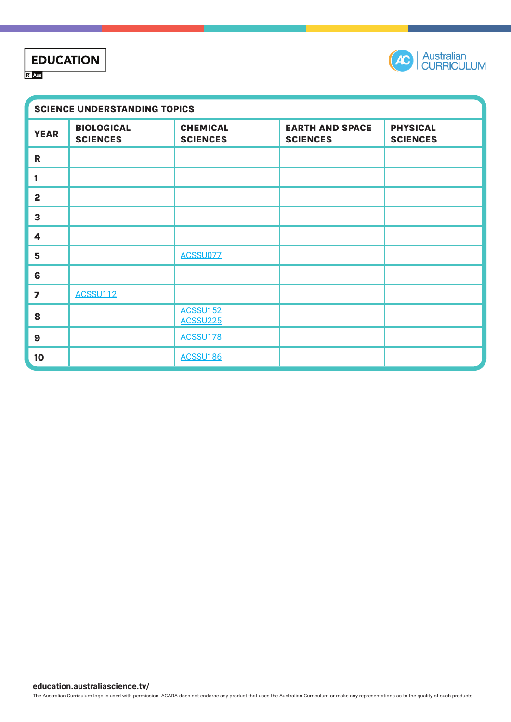# **EDUCATION Ri** Aus



| <b>SCIENCE UNDERSTANDING TOPICS</b> |                                      |                                    |                                           |                                    |
|-------------------------------------|--------------------------------------|------------------------------------|-------------------------------------------|------------------------------------|
| <b>YEAR</b>                         | <b>BIOLOGICAL</b><br><b>SCIENCES</b> | <b>CHEMICAL</b><br><b>SCIENCES</b> | <b>EARTH AND SPACE</b><br><b>SCIENCES</b> | <b>PHYSICAL</b><br><b>SCIENCES</b> |
| $\mathbf R$                         |                                      |                                    |                                           |                                    |
| 1                                   |                                      |                                    |                                           |                                    |
| $\overline{2}$                      |                                      |                                    |                                           |                                    |
| $\mathbf{3}$                        |                                      |                                    |                                           |                                    |
| 4                                   |                                      |                                    |                                           |                                    |
| 5                                   |                                      | ACSSU077                           |                                           |                                    |
| 6                                   |                                      |                                    |                                           |                                    |
| $\overline{\mathbf{z}}$             | <b>ACSSU112</b>                      |                                    |                                           |                                    |
| 8                                   |                                      | <b>ACSSU152</b><br><b>ACSSU225</b> |                                           |                                    |
| $\boldsymbol{9}$                    |                                      | ACSSU178                           |                                           |                                    |
| 10                                  |                                      | <b>ACSSU186</b>                    |                                           |                                    |